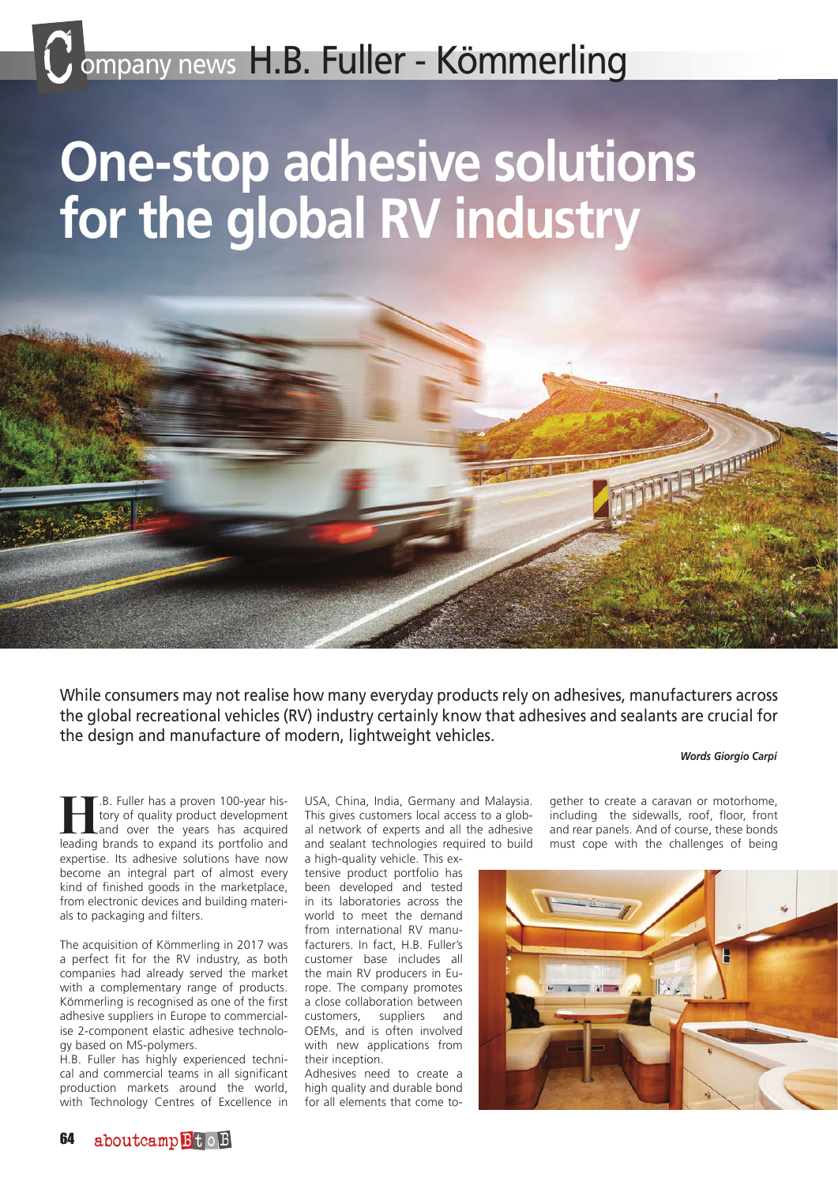# C ompany news H.B. Fuller - Kömmerling

# **One-stop adhesive solutions for the global RV industry**



### *Words Giorgio Carpi*

**He.**B. Fuller has a proven 100-year his-<br>
and over the years has acquired<br>
leading brands to expand its portfolio and tory of quality product development leading brands to expand its portfolio and expertise. Its adhesive solutions have now become an integral part of almost every kind of finished goods in the marketplace, from electronic devices and building materials to packaging and filters.

The acquisition of Kömmerling in 2017 was a perfect fit for the RV industry, as both companies had already served the market with a complementary range of products. Kömmerling is recognised as one of the first adhesive suppliers in Europe to commercialise 2-component elastic adhesive technology based on MS-polymers.

H.B. Fuller has highly experienced technical and commercial teams in all significant production markets around the world, with Technology Centres of Excellence in USA, China, India, Germany and Malaysia. This gives customers local access to a global network of experts and all the adhesive and sealant technologies required to build

a high-quality vehicle. This extensive product portfolio has been developed and tested in its laboratories across the world to meet the demand from international RV manufacturers. In fact, H.B. Fuller's customer base includes all the main RV producers in Europe. The company promotes a close collaboration between customers, suppliers and OEMs, and is often involved with new applications from their inception.

Adhesives need to create a high quality and durable bond for all elements that come to-

gether to create a caravan or motorhome, including the sidewalls, roof, floor, front and rear panels. And of course, these bonds must cope with the challenges of being

**THURSEAR**